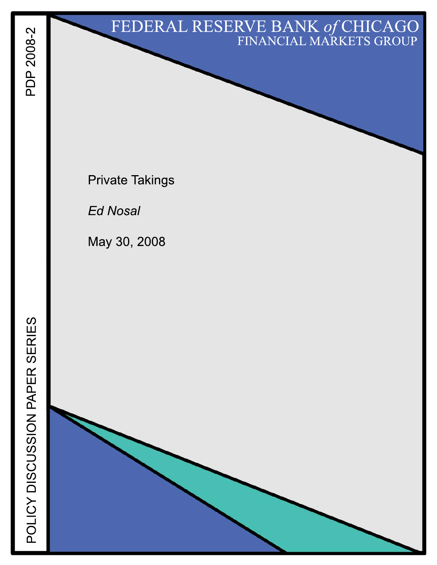# FEDERAL RESERVE BANK of CHICAGO

**Private Takings** 

**Ed Nosal** 

May 30, 2008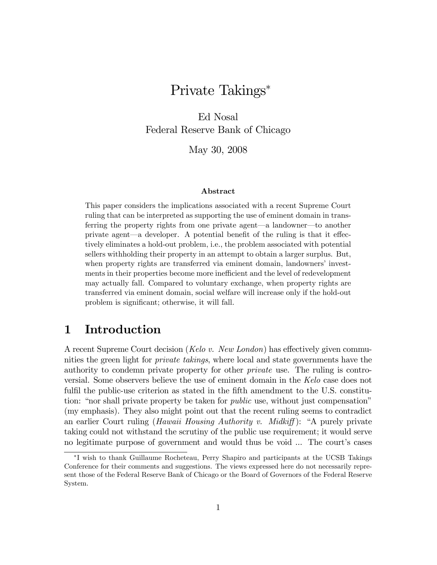# Private Takings

Ed Nosal Federal Reserve Bank of Chicago

May 30, 2008

#### Abstract

This paper considers the implications associated with a recent Supreme Court ruling that can be interpreted as supporting the use of eminent domain in transferring the property rights from one private agent—a landowner—to another private agent—a developer. A potential benefit of the ruling is that it effectively eliminates a hold-out problem, i.e., the problem associated with potential sellers withholding their property in an attempt to obtain a larger surplus. But, when property rights are transferred via eminent domain, landowners' investments in their properties become more inefficient and the level of redevelopment may actually fall. Compared to voluntary exchange, when property rights are transferred via eminent domain, social welfare will increase only if the hold-out problem is significant; otherwise, it will fall.

### 1 Introduction

A recent Supreme Court decision (*Kelo v. New London*) has effectively given communities the green light for *private takings*, where local and state governments have the authority to condemn private property for other private use. The ruling is controversial. Some observers believe the use of eminent domain in the Kelo case does not fulfil the public-use criterion as stated in the fifth amendment to the U.S. constitution: "nor shall private property be taken for *public* use, without just compensation" (my emphasis). They also might point out that the recent ruling seems to contradict an earlier Court ruling (Hawaii Housing Authority v. Midkiff): "A purely private taking could not withstand the scrutiny of the public use requirement; it would serve no legitimate purpose of government and would thus be void ... The court's cases

I wish to thank Guillaume Rocheteau, Perry Shapiro and participants at the UCSB Takings Conference for their comments and suggestions. The views expressed here do not necessarily represent those of the Federal Reserve Bank of Chicago or the Board of Governors of the Federal Reserve System.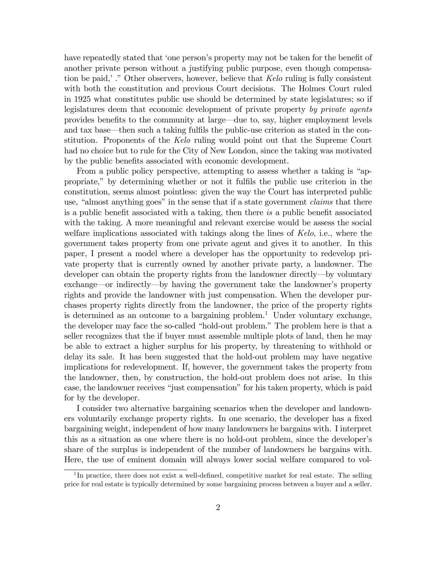have repeatedly stated that 'one person's property may not be taken for the benefit of another private person without a justifying public purpose, even though compensation be paid,<sup> $\cdot$ </sup>." Other observers, however, believe that Kelo ruling is fully consistent with both the constitution and previous Court decisions. The Holmes Court ruled in 1925 what constitutes public use should be determined by state legislatures; so if legislatures deem that economic development of private property by private agents provides benefits to the community at large—due to, say, higher employment levels and tax base—then such a taking fulfils the public-use criterion as stated in the constitution. Proponents of the Kelo ruling would point out that the Supreme Court had no choice but to rule for the City of New London, since the taking was motivated by the public benefits associated with economic development.

From a public policy perspective, attempting to assess whether a taking is "appropriate,î by determining whether or not it fulÖls the public use criterion in the constitution, seems almost pointless: given the way the Court has interpreted public use, "almost anything goes" in the sense that if a state government *claims* that there is a public benefit associated with a taking, then there is a public benefit associated with the taking. A more meaningful and relevant exercise would be assess the social welfare implications associated with takings along the lines of Kelo, i.e., where the government takes property from one private agent and gives it to another. In this paper, I present a model where a developer has the opportunity to redevelop private property that is currently owned by another private party, a landowner. The developer can obtain the property rights from the landowner directly—by voluntary exchange—or indirectly—by having the government take the landowner's property rights and provide the landowner with just compensation. When the developer purchases property rights directly from the landowner, the price of the property rights is determined as an outcome to a bargaining problem.<sup>1</sup> Under voluntary exchange, the developer may face the so-called "hold-out problem." The problem here is that a seller recognizes that the if buyer must assemble multiple plots of land, then he may be able to extract a higher surplus for his property, by threatening to withhold or delay its sale. It has been suggested that the hold-out problem may have negative implications for redevelopment. If, however, the government takes the property from the landowner, then, by construction, the hold-out problem does not arise. In this case, the landowner receives "just compensation" for his taken property, which is paid for by the developer.

I consider two alternative bargaining scenarios when the developer and landowners voluntarily exchange property rights. In one scenario, the developer has a fixed bargaining weight, independent of how many landowners he bargains with. I interpret this as a situation as one where there is no hold-out problem, since the developer's share of the surplus is independent of the number of landowners he bargains with. Here, the use of eminent domain will always lower social welfare compared to vol-

<sup>&</sup>lt;sup>1</sup>In practice, there does not exist a well-defined, competitive market for real estate. The selling price for real estate is typically determined by some bargaining process between a buyer and a seller.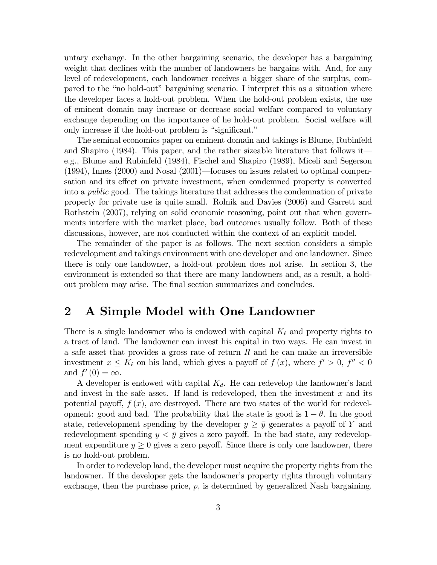untary exchange. In the other bargaining scenario, the developer has a bargaining weight that declines with the number of landowners he bargains with. And, for any level of redevelopment, each landowner receives a bigger share of the surplus, compared to the "no hold-out" bargaining scenario. I interpret this as a situation where the developer faces a hold-out problem. When the hold-out problem exists, the use of eminent domain may increase or decrease social welfare compared to voluntary exchange depending on the importance of he hold-out problem. Social welfare will only increase if the hold-out problem is "significant."

The seminal economics paper on eminent domain and takings is Blume, Rubinfeld and Shapiro  $(1984)$ . This paper, and the rather sizeable literature that follows ite.g., Blume and Rubinfeld (1984), Fischel and Shapiro (1989), Miceli and Segerson  $(1994)$ , Innes  $(2000)$  and Nosal  $(2001)$ —focuses on issues related to optimal compensation and its effect on private investment, when condemned property is converted into a public good. The takings literature that addresses the condemnation of private property for private use is quite small. Rolnik and Davies (2006) and Garrett and Rothstein (2007), relying on solid economic reasoning, point out that when governments interfere with the market place, bad outcomes usually follow. Both of these discussions, however, are not conducted within the context of an explicit model.

The remainder of the paper is as follows. The next section considers a simple redevelopment and takings environment with one developer and one landowner. Since there is only one landowner, a hold-out problem does not arise. In section 3, the environment is extended so that there are many landowners and, as a result, a holdout problem may arise. The Önal section summarizes and concludes.

## 2 A Simple Model with One Landowner

There is a single landowner who is endowed with capital  $K_{\ell}$  and property rights to a tract of land. The landowner can invest his capital in two ways. He can invest in a safe asset that provides a gross rate of return R and he can make an irreversible investment  $x \le K_\ell$  on his land, which gives a payoff of  $f(x)$ , where  $f' > 0$ ,  $f'' < 0$ and  $f'(0) = \infty$ .

A developer is endowed with capital  $K_d$ . He can redevelop the landowner's land and invest in the safe asset. If land is redeveloped, then the investment  $x$  and its potential payoff,  $f(x)$ , are destroyed. There are two states of the world for redevelopment: good and bad. The probability that the state is good is  $1 - \theta$ . In the good state, redevelopment spending by the developer  $y \geq \bar{y}$  generates a payoff of Y and redevelopment spending  $y < \bar{y}$  gives a zero payoff. In the bad state, any redevelopment expenditure  $y \geq 0$  gives a zero payoff. Since there is only one landowner, there is no hold-out problem.

In order to redevelop land, the developer must acquire the property rights from the landowner. If the developer gets the landowner's property rights through voluntary exchange, then the purchase price,  $p$ , is determined by generalized Nash bargaining.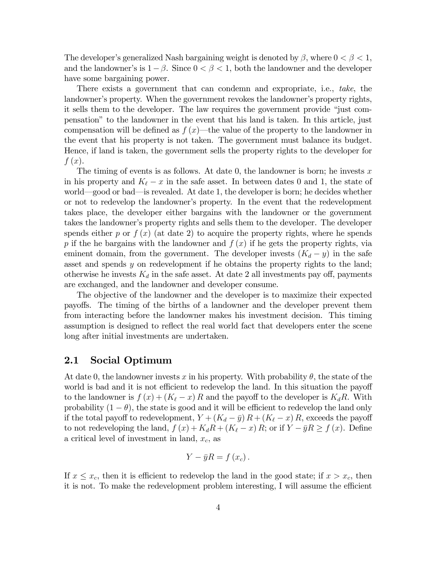The developer's generalized Nash bargaining weight is denoted by  $\beta$ , where  $0 < \beta < 1$ , and the landowner's is  $1 - \beta$ . Since  $0 < \beta < 1$ , both the landowner and the developer have some bargaining power.

There exists a government that can condemn and expropriate, i.e., take, the landowner's property. When the government revokes the landowner's property rights, it sells them to the developer. The law requires the government provide "just compensationî to the landowner in the event that his land is taken. In this article, just compensation will be defined as  $f(x)$ —the value of the property to the landowner in the event that his property is not taken. The government must balance its budget. Hence, if land is taken, the government sells the property rights to the developer for  $f(x)$ .

The timing of events is as follows. At date 0, the landowner is born; he invests x in his property and  $K_{\ell} - x$  in the safe asset. In between dates 0 and 1, the state of world—good or bad—is revealed. At date 1, the developer is born; he decides whether or not to redevelop the landownerís property. In the event that the redevelopment takes place, the developer either bargains with the landowner or the government takes the landowner's property rights and sells them to the developer. The developer spends either p or  $f(x)$  (at date 2) to acquire the property rights, where he spends p if the he bargains with the landowner and  $f(x)$  if he gets the property rights, via eminent domain, from the government. The developer invests  $(K_d - y)$  in the safe asset and spends y on redevelopment if he obtains the property rights to the land; otherwise he invests  $K_d$  in the safe asset. At date 2 all investments pay off, payments are exchanged, and the landowner and developer consume.

The objective of the landowner and the developer is to maximize their expected payoffs. The timing of the births of a landowner and the developer prevent them from interacting before the landowner makes his investment decision. This timing assumption is designed to reflect the real world fact that developers enter the scene long after initial investments are undertaken.

#### 2.1 Social Optimum

At date 0, the landowner invests x in his property. With probability  $\theta$ , the state of the world is bad and it is not efficient to redevelop the land. In this situation the payoff to the landowner is  $f(x) + (K_{\ell} - x) R$  and the payoff to the developer is  $K_{d}R$ . With probability  $(1 - \theta)$ , the state is good and it will be efficient to redevelop the land only if the total payoff to redevelopment,  $Y + (K_d - \bar{y}) R + (K_{\ell} - x) R$ , exceeds the payoff to not redeveloping the land,  $f(x) + K_d R + (K_{\ell} - x) R$ ; or if  $Y - \bar{y}R \ge f(x)$ . Define a critical level of investment in land,  $x_c$ , as

$$
Y-\bar{y}R=f\left(x_c\right).
$$

If  $x \leq x_c$ , then it is efficient to redevelop the land in the good state; if  $x > x_c$ , then it is not. To make the redevelopment problem interesting, I will assume the efficient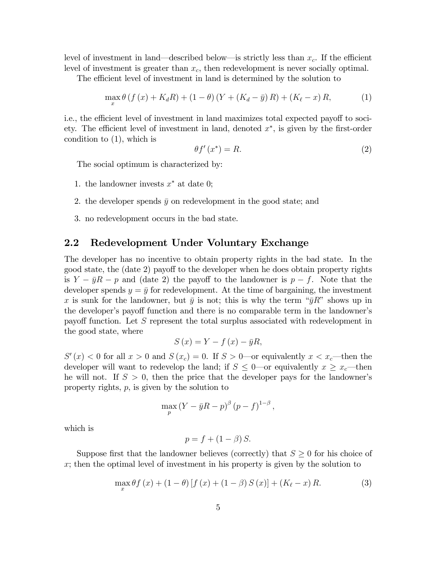level of investment in land—described below—is strictly less than  $x_c$ . If the efficient level of investment is greater than  $x_c$ , then redevelopment is never socially optimal.

The efficient level of investment in land is determined by the solution to

$$
\max_{x} \theta \left( f(x) + K_{d} R \right) + (1 - \theta) \left( Y + (K_{d} - \bar{y}) R \right) + (K_{\ell} - x) R, \tag{1}
$$

i.e., the efficient level of investment in land maximizes total expected payoff to society. The efficient level of investment in land, denoted  $x^*$ , is given by the first-order condition to (1), which is

$$
\theta f'(x^*) = R. \tag{2}
$$

The social optimum is characterized by:

- 1. the landowner invests  $x^*$  at date 0;
- 2. the developer spends  $\bar{y}$  on redevelopment in the good state; and
- 3. no redevelopment occurs in the bad state.

#### 2.2 Redevelopment Under Voluntary Exchange

The developer has no incentive to obtain property rights in the bad state. In the good state, the (date 2) payoff to the developer when he does obtain property rights is  $Y - \bar{y}R - p$  and (date 2) the payoff to the landowner is  $p - f$ . Note that the developer spends  $y = \bar{y}$  for redevelopment. At the time of bargaining, the investment x is sunk for the landowner, but  $\bar{y}$  is not; this is why the term " $\bar{y}R$ " shows up in the developer's payoff function and there is no comparable term in the landowner's payoff function. Let  $S$  represent the total surplus associated with redevelopment in the good state, where

$$
S\left(x\right) = Y - f\left(x\right) - \bar{y}R,
$$

 $S'(x) < 0$  for all  $x > 0$  and  $S(x_c) = 0$ . If  $S > 0$ —or equivalently  $x < x_c$ —then the developer will want to redevelop the land; if  $S \leq 0$  or equivalently  $x \geq x_c$  then he will not. If  $S > 0$ , then the price that the developer pays for the landowner's property rights, p, is given by the solution to

$$
\max_{p} (Y - \bar{y}R - p)^{\beta} (p - f)^{1 - \beta},
$$

which is

$$
p = f + (1 - \beta) S.
$$

Suppose first that the landowner believes (correctly) that  $S \geq 0$  for his choice of  $x$ ; then the optimal level of investment in his property is given by the solution to

$$
\max_{x} \theta f(x) + (1 - \theta) [f(x) + (1 - \beta) S(x)] + (K_{\ell} - x) R.
$$
 (3)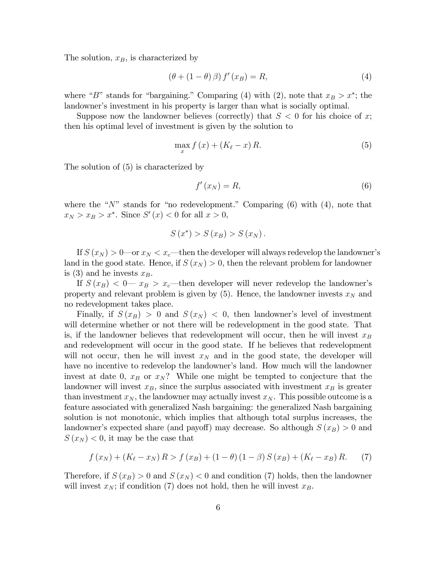The solution,  $x_B$ , is characterized by

$$
(\theta + (1 - \theta)\beta) f'(x_B) = R,\t\t(4)
$$

where "B" stands for "bargaining." Comparing (4) with (2), note that  $x_B > x^*$ ; the landowner's investment in his property is larger than what is socially optimal.

Suppose now the landowner believes (correctly) that  $S < 0$  for his choice of x; then his optimal level of investment is given by the solution to

$$
\max_{x} f\left(x\right) + \left(K_{\ell} - x\right)R.\tag{5}
$$

The solution of (5) is characterized by

$$
f'(x_N) = R,\t\t(6)
$$

where the " $N$ " stands for "no redevelopment." Comparing (6) with (4), note that  $x_N > x_B > x^*$ . Since  $S'(x) < 0$  for all  $x > 0$ ,

$$
S(x^*) > S(x_B) > S(x_N).
$$

If  $S(x_N) > 0$  or  $x_N < x_c$ —then the developer will always redevelop the landowner's land in the good state. Hence, if  $S(x_N) > 0$ , then the relevant problem for landowner is (3) and he invests  $x_B$ .

If  $S(x_B) < 0$  and  $x_B > x_c$  then developer will never redevelop the landowner's property and relevant problem is given by  $(5)$ . Hence, the landowner invests  $x_N$  and no redevelopment takes place.

Finally, if  $S(x_B) > 0$  and  $S(x_N) < 0$ , then landowner's level of investment will determine whether or not there will be redevelopment in the good state. That is, if the landowner believes that redevelopment will occur, then he will invest  $x_B$ and redevelopment will occur in the good state. If he believes that redevelopment will not occur, then he will invest  $x_N$  and in the good state, the developer will have no incentive to redevelop the landowner's land. How much will the landowner invest at date 0,  $x_B$  or  $x_N$ ? While one might be tempted to conjecture that the landowner will invest  $x_B$ , since the surplus associated with investment  $x_B$  is greater than investment  $x_N$ , the landowner may actually invest  $x_N$ . This possible outcome is a feature associated with generalized Nash bargaining: the generalized Nash bargaining solution is not monotonic, which implies that although total surplus increases, the landowner's expected share (and payoff) may decrease. So although  $S(x_B) > 0$  and  $S(x_N) < 0$ , it may be the case that

$$
f(x_N) + (K_{\ell} - x_N) R > f(x_B) + (1 - \theta) (1 - \beta) S(x_B) + (K_{\ell} - x_B) R.
$$
 (7)

Therefore, if  $S(x_B) > 0$  and  $S(x_N) < 0$  and condition (7) holds, then the landowner will invest  $x_N$ ; if condition (7) does not hold, then he will invest  $x_B$ .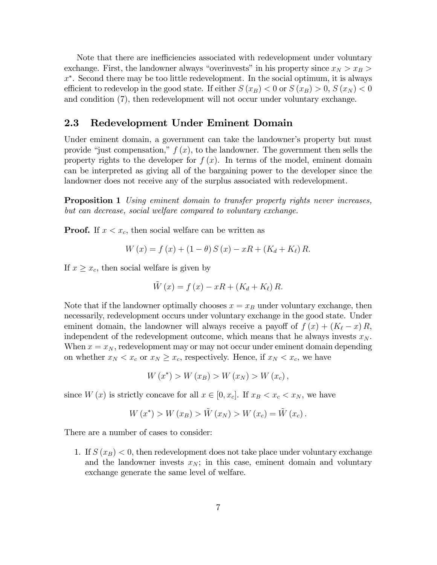Note that there are inefficiencies associated with redevelopment under voluntary exchange. First, the landowner always "overinvests" in his property since  $x_N > x_B$ x . Second there may be too little redevelopment. In the social optimum, it is always efficient to redevelop in the good state. If either  $S(x_B) < 0$  or  $S(x_B) > 0$ ,  $S(x_N) < 0$ and condition (7), then redevelopment will not occur under voluntary exchange.

#### 2.3 Redevelopment Under Eminent Domain

Under eminent domain, a government can take the landowner's property but must provide "just compensation,"  $f(x)$ , to the landowner. The government then sells the property rights to the developer for  $f(x)$ . In terms of the model, eminent domain can be interpreted as giving all of the bargaining power to the developer since the landowner does not receive any of the surplus associated with redevelopment.

**Proposition 1** Using eminent domain to transfer property rights never increases, but can decrease, social welfare compared to voluntary exchange.

**Proof.** If  $x < x_c$ , then social welfare can be written as

$$
W(x) = f(x) + (1 - \theta) S(x) - xR + (K_d + K_{\ell}) R.
$$

If  $x \geq x_c$ , then social welfare is given by

$$
\tilde{W}(x) = f(x) - xR + (K_d + K_\ell) R.
$$

Note that if the landowner optimally chooses  $x = x_B$  under voluntary exchange, then necessarily, redevelopment occurs under voluntary exchange in the good state. Under eminent domain, the landowner will always receive a payoff of  $f(x) + (K_{\ell} - x) R$ , independent of the redevelopment outcome, which means that he always invests  $x_N$ . When  $x = x_N$ , redevelopment may or may not occur under eminent domain depending on whether  $x_N < x_c$  or  $x_N \ge x_c$ , respectively. Hence, if  $x_N < x_c$ , we have

$$
W(x^*) > W(x_B) > W(x_N) > W(x_c),
$$

since  $W(x)$  is strictly concave for all  $x \in [0, x_c]$ . If  $x_B < x_c < x_N$ , we have

$$
W(x^{*}) > W(x_{B}) > \tilde{W}(x_{N}) > W(x_{c}) = \tilde{W}(x_{c}).
$$

There are a number of cases to consider:

1. If  $S(x_B) < 0$ , then redevelopment does not take place under voluntary exchange and the landowner invests  $x_N$ ; in this case, eminent domain and voluntary exchange generate the same level of welfare.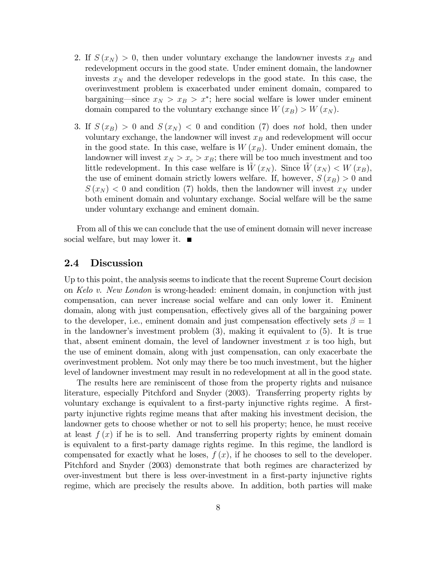- 2. If  $S(x_N) > 0$ , then under voluntary exchange the landowner invests  $x_B$  and redevelopment occurs in the good state. Under eminent domain, the landowner invests  $x_N$  and the developer redevelops in the good state. In this case, the overinvestment problem is exacerbated under eminent domain, compared to bargaining—since  $x_N > x_B > x^*$ ; here social welfare is lower under eminent domain compared to the voluntary exchange since  $W(x_B) > W(x_N)$ .
- 3. If  $S(x_B) > 0$  and  $S(x_N) < 0$  and condition (7) does not hold, then under voluntary exchange, the landowner will invest  $x_B$  and redevelopment will occur in the good state. In this case, welfare is  $W(x)$ . Under eminent domain, the landowner will invest  $x_N > x_c > x_B$ ; there will be too much investment and too little redevelopment. In this case welfare is  $W(x_N)$ . Since  $W(x_N) < W(x_B)$ , the use of eminent domain strictly lowers welfare. If, however,  $S(x_B) > 0$  and  $S(x_N)$  < 0 and condition (7) holds, then the landowner will invest  $x_N$  under both eminent domain and voluntary exchange. Social welfare will be the same under voluntary exchange and eminent domain.

From all of this we can conclude that the use of eminent domain will never increase social welfare, but may lower it.  $\blacksquare$ 

#### 2.4 Discussion

Up to this point, the analysis seems to indicate that the recent Supreme Court decision on Kelo v. New London is wrong-headed: eminent domain, in conjunction with just compensation, can never increase social welfare and can only lower it. Eminent domain, along with just compensation, effectively gives all of the bargaining power to the developer, i.e., eminent domain and just compensation effectively sets  $\beta = 1$ in the landowner's investment problem  $(3)$ , making it equivalent to  $(5)$ . It is true that, absent eminent domain, the level of landowner investment  $x$  is too high, but the use of eminent domain, along with just compensation, can only exacerbate the overinvestment problem. Not only may there be too much investment, but the higher level of landowner investment may result in no redevelopment at all in the good state.

The results here are reminiscent of those from the property rights and nuisance literature, especially Pitchford and Snyder (2003). Transferring property rights by voluntary exchange is equivalent to a first-party injunctive rights regime. A firstparty injunctive rights regime means that after making his investment decision, the landowner gets to choose whether or not to sell his property; hence, he must receive at least  $f(x)$  if he is to sell. And transferring property rights by eminent domain is equivalent to a first-party damage rights regime. In this regime, the landlord is compensated for exactly what he loses,  $f(x)$ , if he chooses to sell to the developer. Pitchford and Snyder (2003) demonstrate that both regimes are characterized by over-investment but there is less over-investment in a Örst-party injunctive rights regime, which are precisely the results above. In addition, both parties will make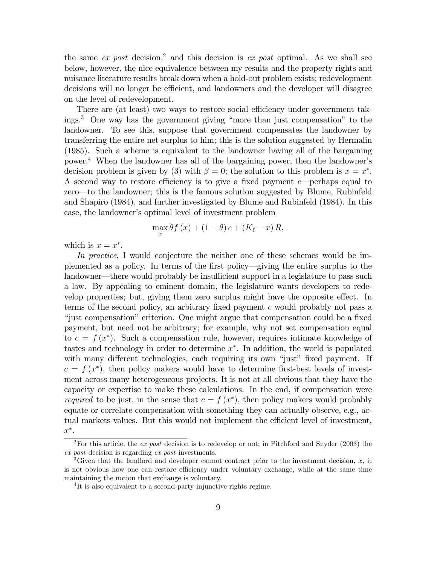the same  $ex$  post decision,<sup>2</sup> and this decision is  $ex$  post optimal. As we shall see below, however, the nice equivalence between my results and the property rights and nuisance literature results break down when a hold-out problem exists; redevelopment decisions will no longer be efficient, and landowners and the developer will disagree on the level of redevelopment.

There are (at least) two ways to restore social efficiency under government takings.<sup>3</sup> One way has the government giving "more than just compensation" to the landowner. To see this, suppose that government compensates the landowner by transferring the entire net surplus to him; this is the solution suggested by Hermalin (1985). Such a scheme is equivalent to the landowner having all of the bargaining power.<sup>4</sup> When the landowner has all of the bargaining power, then the landowner's decision problem is given by (3) with  $\beta = 0$ ; the solution to this problem is  $x = x^*$ . A second way to restore efficiency is to give a fixed payment c—perhaps equal to zero—to the landowner; this is the famous solution suggested by Blume, Rubinfeld and Shapiro (1984), and further investigated by Blume and Rubinfeld (1984). In this case, the landowner's optimal level of investment problem

$$
\max_{x} \theta f(x) + (1 - \theta)c + (K_{\ell} - x) R,
$$

which is  $x = x^*$ .

In practice, I would conjecture the neither one of these schemes would be implemented as a policy. In terms of the first policy—giving the entire surplus to the landowner—there would probably be insufficient support in a legislature to pass such a law. By appealing to eminent domain, the legislature wants developers to redevelop properties; but, giving them zero surplus might have the opposite effect. In terms of the second policy, an arbitrary fixed payment  $c$  would probably not pass a ìjust compensationîcriterion. One might argue that compensation could be a Öxed payment, but need not be arbitrary; for example, why not set compensation equal to  $c = f(x^*)$ . Such a compensation rule, however, requires intimate knowledge of tastes and technology in order to determine  $x^*$ . In addition, the world is populated with many different technologies, each requiring its own "just" fixed payment. If  $c = f(x^*)$ , then policy makers would have to determine first-best levels of investment across many heterogeneous projects. It is not at all obvious that they have the capacity or expertise to make these calculations. In the end, if compensation were *required* to be just, in the sense that  $c = f(x^*)$ , then policy makers would probably equate or correlate compensation with something they can actually observe, e.g., actual markets values. But this would not implement the efficient level of investment,  $x^*$ .

<sup>&</sup>lt;sup>2</sup>For this article, the *ex post* decision is to redevelop or not; in Pitchford and Snyder (2003) the ex post decision is regarding ex post investments.

<sup>&</sup>lt;sup>3</sup>Given that the landlord and developer cannot contract prior to the investment decision, x, it is not obvious how one can restore efficiency under voluntary exchange, while at the same time maintaining the notion that exchange is voluntary.

<sup>&</sup>lt;sup>4</sup>It is also equivalent to a second-party injunctive rights regime.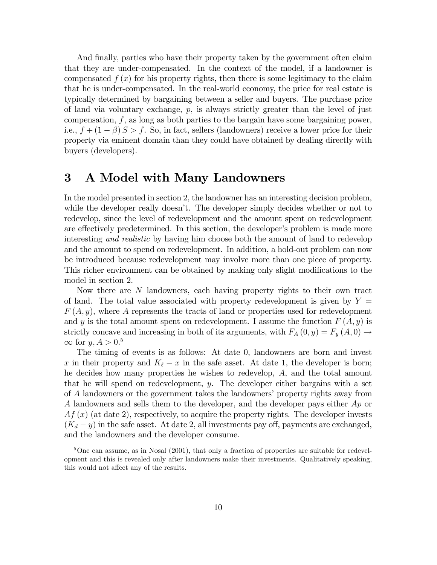And finally, parties who have their property taken by the government often claim that they are under-compensated. In the context of the model, if a landowner is compensated  $f(x)$  for his property rights, then there is some legitimacy to the claim that he is under-compensated. In the real-world economy, the price for real estate is typically determined by bargaining between a seller and buyers. The purchase price of land via voluntary exchange,  $p$ , is always strictly greater than the level of just compensation,  $f$ , as long as both parties to the bargain have some bargaining power, i.e.,  $f + (1 - \beta) S > f$ . So, in fact, sellers (landowners) receive a lower price for their property via eminent domain than they could have obtained by dealing directly with buyers (developers).

## 3 A Model with Many Landowners

In the model presented in section 2, the landowner has an interesting decision problem, while the developer really doesn't. The developer simply decides whether or not to redevelop, since the level of redevelopment and the amount spent on redevelopment are effectively predetermined. In this section, the developer's problem is made more interesting and realistic by having him choose both the amount of land to redevelop and the amount to spend on redevelopment. In addition, a hold-out problem can now be introduced because redevelopment may involve more than one piece of property. This richer environment can be obtained by making only slight modifications to the model in section 2.

Now there are N landowners, each having property rights to their own tract of land. The total value associated with property redevelopment is given by  $Y =$  $F(A, y)$ , where A represents the tracts of land or properties used for redevelopment and y is the total amount spent on redevelopment. I assume the function  $F(A, y)$  is strictly concave and increasing in both of its arguments, with  $F_A(0, y) = F_y(A, 0) \rightarrow$  $\infty$  for  $y, A > 0.5$ 

The timing of events is as follows: At date 0, landowners are born and invest x in their property and  $K_{\ell} - x$  in the safe asset. At date 1, the developer is born; he decides how many properties he wishes to redevelop, A, and the total amount that he will spend on redevelopment, y. The developer either bargains with a set of A landowners or the government takes the landowners' property rights away from A landowners and sells them to the developer, and the developer pays either Ap or  $Af(x)$  (at date 2), respectively, to acquire the property rights. The developer invests  $(K_d - y)$  in the safe asset. At date 2, all investments pay off, payments are exchanged, and the landowners and the developer consume.

 $5$ One can assume, as in Nosal (2001), that only a fraction of properties are suitable for redevelopment and this is revealed only after landowners make their investments. Qualitatively speaking, this would not affect any of the results.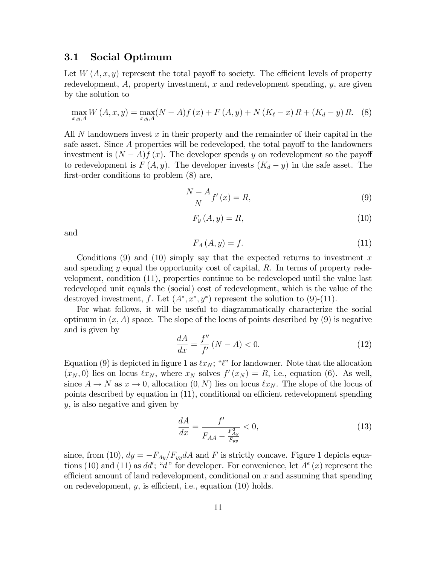#### 3.1 Social Optimum

Let  $W(A, x, y)$  represent the total payoff to society. The efficient levels of property redevelopment,  $A$ , property investment,  $x$  and redevelopment spending,  $y$ , are given by the solution to

$$
\max_{x,y,A} W(A,x,y) = \max_{x,y,A} (N-A)f(x) + F(A,y) + N(K_{\ell} - x)R + (K_{d} - y)R.
$$
 (8)

All  $N$  landowners invest  $x$  in their property and the remainder of their capital in the safe asset. Since  $A$  properties will be redeveloped, the total payoff to the landowners investment is  $(N - A)f(x)$ . The developer spends y on redevelopment so the payoff to redevelopment is  $F(A, y)$ . The developer invests  $(K_d - y)$  in the safe asset. The first-order conditions to problem  $(8)$  are,

$$
\frac{N-A}{N}f'(x) = R,\t\t(9)
$$

$$
F_y(A, y) = R,\t\t(10)
$$

and

$$
F_A(A, y) = f. \tag{11}
$$

Conditions  $(9)$  and  $(10)$  simply say that the expected returns to investment x and spending  $y$  equal the opportunity cost of capital,  $R$ . In terms of property redevelopment, condition (11), properties continue to be redeveloped until the value last redeveloped unit equals the (social) cost of redevelopment, which is the value of the destroyed investment, f. Let  $(A^*, x^*, y^*)$  represent the solution to (9)-(11).

For what follows, it will be useful to diagrammatically characterize the social optimum in  $(x, A)$  space. The slope of the locus of points described by (9) is negative and is given by

$$
\frac{dA}{dx} = \frac{f''}{f'}\left(N - A\right) < 0.\tag{12}
$$

Equation (9) is depicted in figure 1 as  $\ell x_N$ ; " $\ell$ " for landowner. Note that the allocation  $(x_N, 0)$  lies on locus  $\ell x_N$ , where  $x_N$  solves  $f'(x_N) = R$ , i.e., equation (6). As well, since  $A \to N$  as  $x \to 0$ , allocation  $(0, N)$  lies on locus  $\ell x_N$ . The slope of the locus of points described by equation in (11), conditional on efficient redevelopment spending y, is also negative and given by

$$
\frac{dA}{dx} = \frac{f'}{F_{AA} - \frac{F_{Ay}^2}{F_{yy}}} < 0,\tag{13}
$$

since, from (10),  $dy = -F_{Ay}/F_{yy}dA$  and F is strictly concave. Figure 1 depicts equations (10) and (11) as  $dd'$ ; "d" for developer. For convenience, let  $A^e(x)$  represent the efficient amount of land redevelopment, conditional on  $x$  and assuming that spending on redevelopment,  $y$ , is efficient, i.e., equation  $(10)$  holds.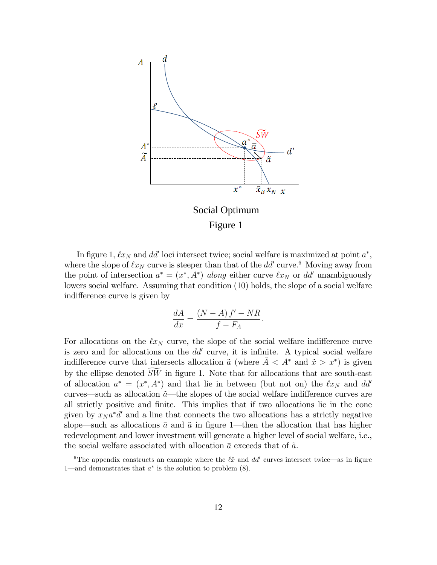

In figure 1,  $\ell x_N$  and dd' loci intersect twice; social welfare is maximized at point  $a^*$ , where the slope of  $\ell x_N$  curve is steeper than that of the  $dd'$  curve.<sup>6</sup> Moving away from the point of intersection  $a^* = (x^*, A^*)$  along either curve  $\ell x_N$  or dd' unambiguously lowers social welfare. Assuming that condition (10) holds, the slope of a social welfare indifference curve is given by

$$
\frac{dA}{dx} = \frac{(N-A) f' - NR}{f - F_A}.
$$

For allocations on the  $\ell x_N$  curve, the slope of the social welfare indifference curve is zero and for allocations on the  $dd'$  curve, it is infinite. A typical social welfare indifference curve that intersects allocation  $\tilde{a}$  (where  $\tilde{A} < A^*$  and  $\tilde{x} > x^*$ ) is given by the ellipse denoted  $SW$  in figure 1. Note that for allocations that are south-east of allocation  $a^* = (x^*, A^*)$  and that lie in between (but not on) the  $\ell x_N$  and dd' curves—such as allocation  $\tilde{a}$ —the slopes of the social welfare indifference curves are all strictly positive and Önite. This implies that if two allocations lie in the cone given by  $x_N a^* d'$  and a line that connects the two allocations has a strictly negative slope—such as allocations  $\bar{a}$  and  $\tilde{a}$  in figure 1—then the allocation that has higher redevelopment and lower investment will generate a higher level of social welfare, i.e., the social welfare associated with allocation  $\bar{a}$  exceeds that of  $\tilde{a}$ .

<sup>&</sup>lt;sup>6</sup>The appendix constructs an example where the  $\ell \hat{x}$  and dd<sup>'</sup> curves intersect twice—as in figure 1—and demonstrates that  $a^*$  is the solution to problem  $(8)$ .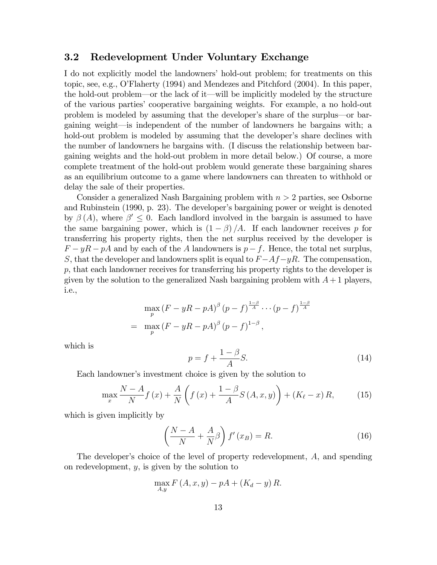#### 3.2 Redevelopment Under Voluntary Exchange

I do not explicitly model the landowners' hold-out problem; for treatments on this topic, see, e.g., OíFlaherty (1994) and Mendezes and Pitchford (2004). In this paper, the hold-out problem—or the lack of it—will be implicitly modeled by the structure of the various partiesí cooperative bargaining weights. For example, a no hold-out problem is modeled by assuming that the developer's share of the surplus—or bargaining weight—is independent of the number of landowners he bargains with; a hold-out problem is modeled by assuming that the developer's share declines with the number of landowners he bargains with. (I discuss the relationship between bargaining weights and the hold-out problem in more detail below.) Of course, a more complete treatment of the hold-out problem would generate these bargaining shares as an equilibrium outcome to a game where landowners can threaten to withhold or delay the sale of their properties.

Consider a generalized Nash Bargaining problem with  $n > 2$  parties, see Osborne and Rubinstein (1990, p. 23). The developer's bargaining power or weight is denoted by  $\beta(A)$ , where  $\beta' \leq 0$ . Each landlord involved in the bargain is assumed to have the same bargaining power, which is  $(1 - \beta)/A$ . If each landowner receives p for transferring his property rights, then the net surplus received by the developer is  $F - yR - pA$  and by each of the A landowners is  $p - f$ . Hence, the total net surplus, S, that the developer and landowners split is equal to  $F-Af-yR$ . The compensation, p, that each landowner receives for transferring his property rights to the developer is given by the solution to the generalized Nash bargaining problem with  $A + 1$  players, i.e.,

$$
\max_{p} (F - yR - pA)^{\beta} (p - f)^{\frac{1-\beta}{A}} \cdots (p - f)^{\frac{1-\beta}{A}}
$$
  
= 
$$
\max_{p} (F - yR - pA)^{\beta} (p - f)^{1-\beta},
$$

which is

$$
p = f + \frac{1 - \beta}{A}S.\tag{14}
$$

Each landowner's investment choice is given by the solution to

$$
\max_{x} \frac{N-A}{N} f(x) + \frac{A}{N} \left( f(x) + \frac{1-\beta}{A} S\left( A, x, y \right) \right) + \left( K_{\ell} - x \right) R, \tag{15}
$$

which is given implicitly by

$$
\left(\frac{N-A}{N} + \frac{A}{N}\beta\right)f'(x_B) = R.
$$
\n(16)

The developer's choice of the level of property redevelopment, A, and spending on redevelopment,  $y$ , is given by the solution to

$$
\max_{A,y} F\left(A,x,y\right) - pA + \left(K_d - y\right)R.
$$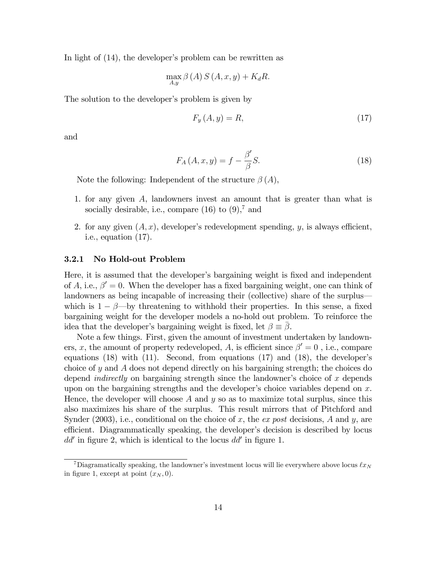In light of  $(14)$ , the developer's problem can be rewritten as

$$
\max_{A,y} \beta(A) S(A, x, y) + K_d R.
$$

The solution to the developer's problem is given by

$$
F_y(A, y) = R,\t\t(17)
$$

and

$$
F_A(A, x, y) = f - \frac{\beta'}{\beta} S.
$$
\n(18)

Note the following: Independent of the structure  $\beta(A)$ ,

- 1. for any given A, landowners invest an amount that is greater than what is socially desirable, i.e., compare  $(16)$  to  $(9)$ ,<sup>7</sup> and
- 2. for any given  $(A, x)$ , developer's redevelopment spending, y, is always efficient, i.e., equation (17).

#### 3.2.1 No Hold-out Problem

Here, it is assumed that the developer's bargaining weight is fixed and independent of A, i.e.,  $\beta' = 0$ . When the developer has a fixed bargaining weight, one can think of landowners as being incapable of increasing their (collective) share of the surpluswhich is  $1 - \beta$ —by threatening to withhold their properties. In this sense, a fixed bargaining weight for the developer models a no-hold out problem. To reinforce the idea that the developer's bargaining weight is fixed, let  $\beta \equiv \beta$ .

Note a few things. First, given the amount of investment undertaken by landowners, x, the amount of property redeveloped, A, is efficient since  $\beta' = 0$ , i.e., compare equations  $(18)$  with  $(11)$ . Second, from equations  $(17)$  and  $(18)$ , the developer's choice of y and A does not depend directly on his bargaining strength; the choices do depend *indirectly* on bargaining strength since the landowner's choice of x depends upon on the bargaining strengths and the developer's choice variables depend on  $x$ . Hence, the developer will choose  $A$  and  $y$  so as to maximize total surplus, since this also maximizes his share of the surplus. This result mirrors that of Pitchford and Synder (2003), i.e., conditional on the choice of x, the ex post decisions, A and y, are efficient. Diagrammatically speaking, the developer's decision is described by locus  $dd'$  in figure 2, which is identical to the locus  $dd'$  in figure 1.

<sup>&</sup>lt;sup>7</sup>Diagramatically speaking, the landowner's investment locus will lie everywhere above locus  $\ell x_N$ in figure 1, except at point  $(x_N, 0)$ .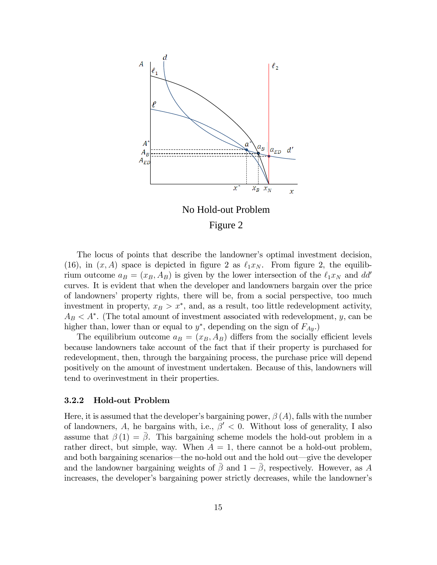

Figure 2

The locus of points that describe the landowner's optimal investment decision, (16), in  $(x, A)$  space is depicted in figure 2 as  $\ell_1 x_N$ . From figure 2, the equilibrium outcome  $a_B = (x_B, A_B)$  is given by the lower intersection of the  $\ell_1 x_N$  and dd' curves. It is evident that when the developer and landowners bargain over the price of landowners' property rights, there will be, from a social perspective, too much investment in property,  $x_B > x^*$ , and, as a result, too little redevelopment activity,  $A_B < A^*$ . (The total amount of investment associated with redevelopment, y, can be higher than, lower than or equal to  $y^*$ , depending on the sign of  $F_{Ay}$ .

The equilibrium outcome  $a_B = (x_B, A_B)$  differs from the socially efficient levels because landowners take account of the fact that if their property is purchased for redevelopment, then, through the bargaining process, the purchase price will depend positively on the amount of investment undertaken. Because of this, landowners will tend to overinvestment in their properties.

#### 3.2.2 Hold-out Problem

Here, it is assumed that the developer's bargaining power,  $\beta(A)$ , falls with the number of landowners, A, he bargains with, i.e.,  $\beta' < 0$ . Without loss of generality, I also assume that  $\beta(1) = \overline{\beta}$ . This bargaining scheme models the hold-out problem in a rather direct, but simple, way. When  $A = 1$ , there cannot be a hold-out problem, and both bargaining scenarios—the no-hold out and the hold out—give the developer and the landowner bargaining weights of  $\bar{\beta}$  and  $1-\bar{\beta}$ , respectively. However, as A increases, the developer's bargaining power strictly decreases, while the landowner's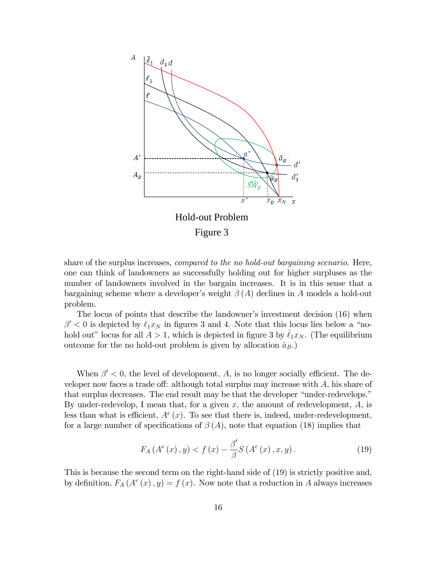

share of the surplus increases, compared to the no hold-out bargaining scenario. Here, one can think of landowners as successfully holding out for higher surpluses as the number of landowners involved in the bargain increases. It is in this sense that a bargaining scheme where a developer's weight  $\beta(A)$  declines in A models a hold-out problem.

The locus of points that describe the landowner's investment decision (16) when  $\beta' < 0$  is depicted by  $\ell_1 x_N$  in figures 3 and 4. Note that this locus lies below a "nohold out" locus for all  $A > 1$ , which is depicted in figure 3 by  $\ell_1x_N$ . (The equilibrium outcome for the no hold-out problem is given by allocation  $\hat{a}_B$ .)

When  $\beta' < 0$ , the level of development, A, is no longer socially efficient. The developer now faces a trade off: although total surplus may increase with  $A$ , his share of that surplus decreases. The end result may be that the developer "under-redevelops." By under-redevelop, I mean that, for a given x, the amount of redevelopment,  $A$ , is less than what is efficient,  $A^e(x)$ . To see that there is, indeed, under-redevelopment, for a large number of specifications of  $\beta(A)$ , note that equation (18) implies that

$$
F_A(A^e(x), y) < f(x) - \frac{\beta'}{\beta} S(A^e(x), x, y). \tag{19}
$$

This is because the second term on the right-hand side of (19) is strictly positive and, by definition,  $F_A(A^e(x), y) = f(x)$ . Now note that a reduction in A always increases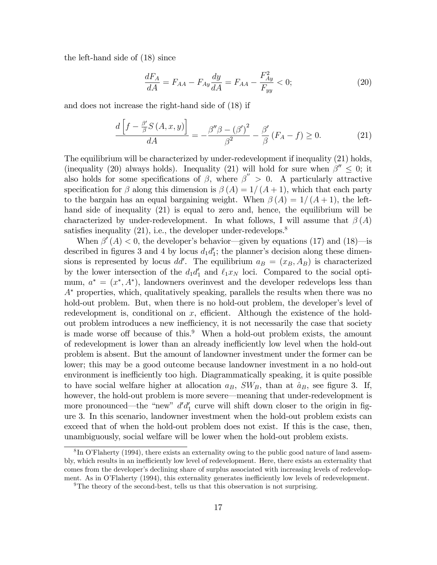the left-hand side of (18) since

$$
\frac{dF_A}{dA} = F_{AA} - F_{Ay}\frac{dy}{dA} = F_{AA} - \frac{F_{Ay}^2}{F_{yy}} < 0;\tag{20}
$$

and does not increase the right-hand side of (18) if

$$
\frac{d\left[f - \frac{\beta'}{\beta}S\left(A, x, y\right)\right]}{dA} = -\frac{\beta''\beta - \left(\beta'\right)^2}{\beta^2} - \frac{\beta'}{\beta}\left(F_A - f\right) \ge 0. \tag{21}
$$

The equilibrium will be characterized by under-redevelopment if inequality (21) holds, (inequality (20) always holds). Inequality (21) will hold for sure when  $\beta'' \leq 0$ ; it also holds for some specifications of  $\beta$ , where  $\beta'' > 0$ . A particularly attractive specification for  $\beta$  along this dimension is  $\beta(A) = 1/(A + 1)$ , which that each party to the bargain has an equal bargaining weight. When  $\beta(A) = 1/(A + 1)$ , the lefthand side of inequality (21) is equal to zero and, hence, the equilibrium will be characterized by under-redevelopment. In what follows, I will assume that  $\beta(A)$ satisfies inequality  $(21)$ , i.e., the developer under-redevelops.<sup>8</sup>

When  $\beta'(A) < 0$ , the developer's behavior—given by equations (17) and (18)—is described in figures 3 and 4 by locus  $d_1 d_1$ ; the planner's decision along these dimensions is represented by locus  $dd'$ . The equilibrium  $a_B = (x_B, A_B)$  is characterized by the lower intersection of the  $d_1 d_1'$  and  $\ell_1 x_N$  loci. Compared to the social optimum,  $a^* = (x^*, A^*)$ , landowners overinvest and the developer redevelops less than  $A^*$  properties, which, qualitatively speaking, parallels the results when there was no hold-out problem. But, when there is no hold-out problem, the developer's level of redevelopment is, conditional on  $x$ , efficient. Although the existence of the holdout problem introduces a new inefficiency, it is not necessarily the case that society is made worse off because of this.<sup>9</sup> When a hold-out problem exists, the amount of redevelopment is lower than an already inefficiently low level when the hold-out problem is absent. But the amount of landowner investment under the former can be lower; this may be a good outcome because landowner investment in a no hold-out environment is inefficiently too high. Diagrammatically speaking, it is quite possible to have social welfare higher at allocation  $a_B$ ,  $SW_B$ , than at  $\hat{a}_B$ , see figure 3. If, however, the hold-out problem is more severe—meaning that under-redevelopment is more pronounced—the "new"  $d'd'_1$  curve will shift down closer to the origin in figure 3. In this scenario, landowner investment when the hold-out problem exists can exceed that of when the hold-out problem does not exist. If this is the case, then, unambiguously, social welfare will be lower when the hold-out problem exists.

 ${}^{8}$ In O'Flaherty (1994), there exists an externality owing to the public good nature of land assembly, which results in an inefficiently low level of redevelopment. Here, there exists an externality that comes from the developer's declining share of surplus associated with increasing levels of redevelopment. As in O'Flaherty (1994), this externality generates inefficiently low levels of redevelopment.

<sup>&</sup>lt;sup>9</sup>The theory of the second-best, tells us that this observation is not surprising.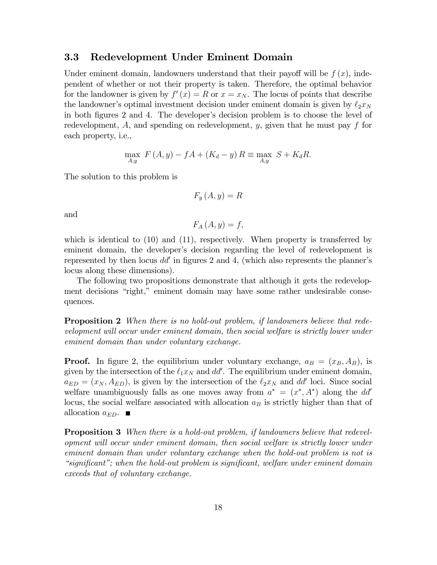#### 3.3 Redevelopment Under Eminent Domain

Under eminent domain, landowners understand that their payoff will be  $f(x)$ , independent of whether or not their property is taken. Therefore, the optimal behavior for the landowner is given by  $f'(x) = R$  or  $x = x_N$ . The locus of points that describe the landowner's optimal investment decision under eminent domain is given by  $\ell_2 x_N$ in both figures 2 and 4. The developer's decision problem is to choose the level of redevelopment,  $A$ , and spending on redevelopment,  $y$ , given that he must pay  $f$  for each property, i.e.,

$$
\max_{A,y} F(A,y) - fA + (K_d - y) R \equiv \max_{A,y} S + K_d R.
$$

The solution to this problem is

$$
F_y\left(A,y\right) = R
$$

and

$$
F_A(A, y) = f,
$$

which is identical to  $(10)$  and  $(11)$ , respectively. When property is transferred by eminent domain, the developer's decision regarding the level of redevelopment is represented by then locus  $dd'$  in figures 2 and 4, (which also represents the planner's locus along these dimensions).

The following two propositions demonstrate that although it gets the redevelopment decisions "right," eminent domain may have some rather undesirable consequences.

**Proposition 2** When there is no hold-out problem, if landowners believe that redevelopment will occur under eminent domain, then social welfare is strictly lower under eminent domain than under voluntary exchange.

**Proof.** In figure 2, the equilibrium under voluntary exchange,  $a_B = (x_B, A_B)$ , is given by the intersection of the  $\ell_1 x_N$  and dd'. The equilibrium under eminent domain,  $a_{ED} = (x_N, A_{ED})$ , is given by the intersection of the  $\ell_2 x_N$  and dd' loci. Since social welfare unambiguously falls as one moves away from  $a^* = (x^*, A^*)$  along the dd' locus, the social welfare associated with allocation  $a_B$  is strictly higher than that of allocation  $a_{ED}$ .

**Proposition 3** When there is a hold-out problem, if landowners believe that redevelopment will occur under eminent domain, then social welfare is strictly lower under eminent domain than under voluntary exchange when the hold-out problem is not is  $"significant"$ ; when the hold-out problem is significant, welfare under eminent domain exceeds that of voluntary exchange.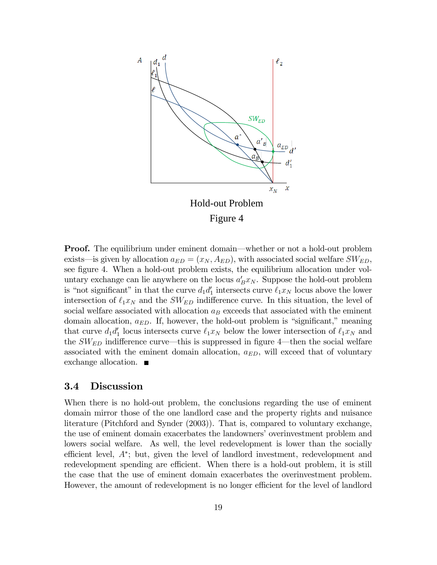

**Proof.** The equilibrium under eminent domain—whether or not a hold-out problem exists—is given by allocation  $a_{ED} = (x_N, A_{ED})$ , with associated social welfare  $SW_{ED}$ , see figure 4. When a hold-out problem exists, the equilibrium allocation under voluntary exchange can lie anywhere on the locus  $a'_B x_N$ . Suppose the hold-out problem is "not significant" in that the curve  $d_1 d_1'$  intersects curve  $\ell_1 x_N$  locus above the lower intersection of  $\ell_1x_N$  and the  $SW_{ED}$  indifference curve. In this situation, the level of social welfare associated with allocation  $a_B$  exceeds that associated with the eminent domain allocation,  $a_{ED}$ . If, however, the hold-out problem is "significant," meaning that curve  $d_1 d'_1$  locus intersects curve  $\ell_1 x_N$  below the lower intersection of  $\ell_1 x_N$  and the  $SW_{ED}$  indifference curve—this is suppressed in figure 4—then the social welfare associated with the eminent domain allocation,  $a_{ED}$ , will exceed that of voluntary exchange allocation. ■

#### 3.4 Discussion

When there is no hold-out problem, the conclusions regarding the use of eminent domain mirror those of the one landlord case and the property rights and nuisance literature (Pitchford and Synder (2003)). That is, compared to voluntary exchange, the use of eminent domain exacerbates the landowners' overinvestment problem and lowers social welfare. As well, the level redevelopment is lower than the socially efficient level,  $A^*$ ; but, given the level of landlord investment, redevelopment and redevelopment spending are efficient. When there is a hold-out problem, it is still the case that the use of eminent domain exacerbates the overinvestment problem. However, the amount of redevelopment is no longer efficient for the level of landlord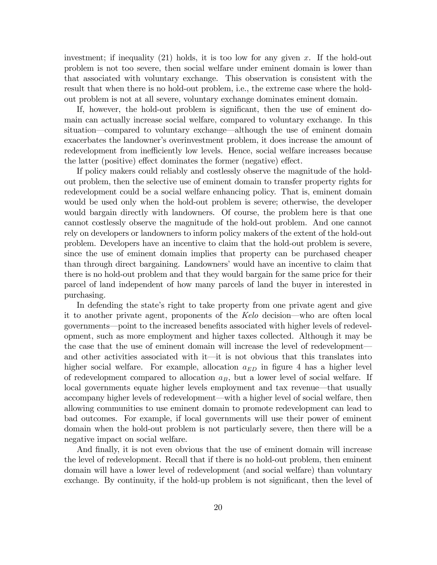investment; if inequality (21) holds, it is too low for any given x. If the hold-out problem is not too severe, then social welfare under eminent domain is lower than that associated with voluntary exchange. This observation is consistent with the result that when there is no hold-out problem, i.e., the extreme case where the holdout problem is not at all severe, voluntary exchange dominates eminent domain.

If, however, the hold-out problem is significant, then the use of eminent domain can actually increase social welfare, compared to voluntary exchange. In this situation—compared to voluntary exchange—although the use of eminent domain exacerbates the landowner's overinvestment problem, it does increase the amount of redevelopment from inefficiently low levels. Hence, social welfare increases because the latter (positive) effect dominates the former (negative) effect.

If policy makers could reliably and costlessly observe the magnitude of the holdout problem, then the selective use of eminent domain to transfer property rights for redevelopment could be a social welfare enhancing policy. That is, eminent domain would be used only when the hold-out problem is severe; otherwise, the developer would bargain directly with landowners. Of course, the problem here is that one cannot costlessly observe the magnitude of the hold-out problem. And one cannot rely on developers or landowners to inform policy makers of the extent of the hold-out problem. Developers have an incentive to claim that the hold-out problem is severe, since the use of eminent domain implies that property can be purchased cheaper than through direct bargaining. Landowners' would have an incentive to claim that there is no hold-out problem and that they would bargain for the same price for their parcel of land independent of how many parcels of land the buyer in interested in purchasing.

In defending the state's right to take property from one private agent and give it to another private agent, proponents of the  $Kelo$  decision—who are often local governments—point to the increased benefits associated with higher levels of redevelopment, such as more employment and higher taxes collected. Although it may be the case that the use of eminent domain will increase the level of redevelopment and other activities associated with  $i$  is not obvious that this translates into higher social welfare. For example, allocation  $a_{ED}$  in figure 4 has a higher level of redevelopment compared to allocation  $a_B$ , but a lower level of social welfare. If local governments equate higher levels employment and tax revenue—that usually accompany higher levels of redevelopment—with a higher level of social welfare, then allowing communities to use eminent domain to promote redevelopment can lead to bad outcomes. For example, if local governments will use their power of eminent domain when the hold-out problem is not particularly severe, then there will be a negative impact on social welfare.

And finally, it is not even obvious that the use of eminent domain will increase the level of redevelopment. Recall that if there is no hold-out problem, then eminent domain will have a lower level of redevelopment (and social welfare) than voluntary exchange. By continuity, if the hold-up problem is not significant, then the level of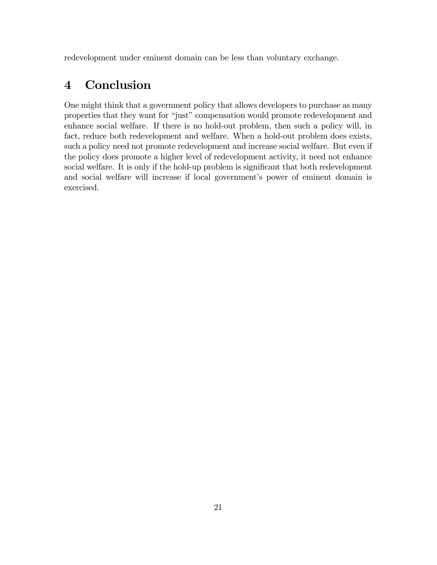redevelopment under eminent domain can be less than voluntary exchange.

## 4 Conclusion

One might think that a government policy that allows developers to purchase as many properties that they want for "just" compensation would promote redevelopment and enhance social welfare. If there is no hold-out problem, then such a policy will, in fact, reduce both redevelopment and welfare. When a hold-out problem does exists, such a policy need not promote redevelopment and increase social welfare. But even if the policy does promote a higher level of redevelopment activity, it need not enhance social welfare. It is only if the hold-up problem is significant that both redevelopment and social welfare will increase if local government's power of eminent domain is exercised.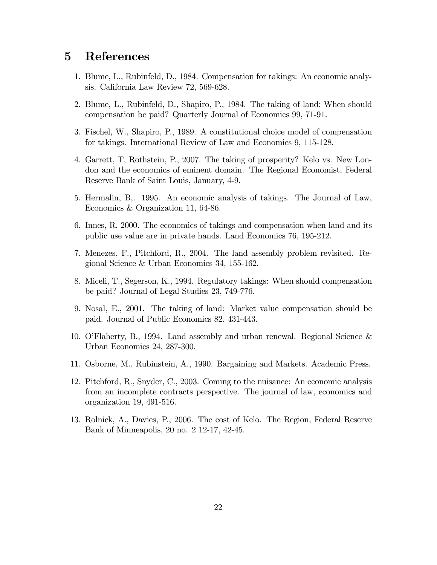## 5 References

- 1. Blume, L., Rubinfeld, D., 1984. Compensation for takings: An economic analysis. California Law Review 72, 569-628.
- 2. Blume, L., Rubinfeld, D., Shapiro, P., 1984. The taking of land: When should compensation be paid? Quarterly Journal of Economics 99, 71-91.
- 3. Fischel, W., Shapiro, P., 1989. A constitutional choice model of compensation for takings. International Review of Law and Economics 9, 115-128.
- 4. Garrett, T, Rothstein, P., 2007. The taking of prosperity? Kelo vs. New London and the economics of eminent domain. The Regional Economist, Federal Reserve Bank of Saint Louis, January, 4-9.
- 5. Hermalin, B,. 1995. An economic analysis of takings. The Journal of Law, Economics & Organization 11, 64-86.
- 6. Innes, R. 2000. The economics of takings and compensation when land and its public use value are in private hands. Land Economics 76, 195-212.
- 7. Menezes, F., Pitchford, R., 2004. The land assembly problem revisited. Regional Science & Urban Economics 34, 155-162.
- 8. Miceli, T., Segerson, K., 1994. Regulatory takings: When should compensation be paid? Journal of Legal Studies 23, 749-776.
- 9. Nosal, E., 2001. The taking of land: Market value compensation should be paid. Journal of Public Economics 82, 431-443.
- 10. OíFlaherty, B., 1994. Land assembly and urban renewal. Regional Science & Urban Economics 24, 287-300.
- 11. Osborne, M., Rubinstein, A., 1990. Bargaining and Markets. Academic Press.
- 12. Pitchford, R., Snyder, C., 2003. Coming to the nuisance: An economic analysis from an incomplete contracts perspective. The journal of law, economics and organization 19, 491-516.
- 13. Rolnick, A., Davies, P., 2006. The cost of Kelo. The Region, Federal Reserve Bank of Minneapolis, 20 no. 2 12-17, 42-45.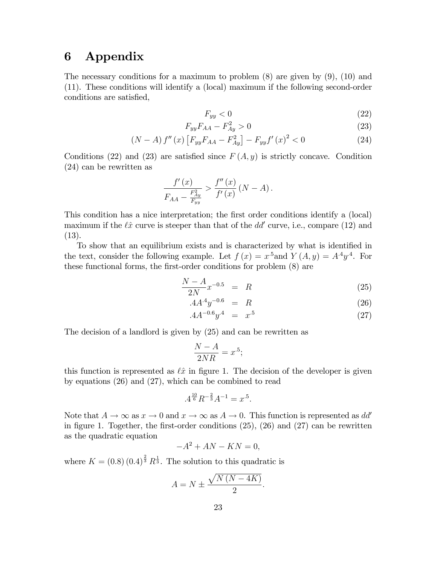## 6 Appendix

The necessary conditions for a maximum to problem  $(8)$  are given by  $(9)$ ,  $(10)$  and (11). These conditions will identify a (local) maximum if the following second-order conditions are satisfied,

$$
F_{yy} < 0 \tag{22}
$$

$$
F_{yy}F_{AA} - F_{Ay}^2 > 0 \tag{23}
$$

$$
(N - A) f''(x) [F_{yy}F_{AA} - F_{Ay}^2] - F_{yy}f'(x)^2 < 0
$$
\n(24)

Conditions (22) and (23) are satisfied since  $F(A, y)$  is strictly concave. Condition (24) can be rewritten as

$$
\frac{f'(x)}{F_{AA} - \frac{F_{Ay}^2}{F_{yy}}} > \frac{f''(x)}{f'(x)} (N - A).
$$

This condition has a nice interpretation; the first order conditions identify a (local) maximum if the  $\ell \hat{x}$  curve is steeper than that of the  $dd'$  curve, i.e., compare (12) and (13).

To show that an equilibrium exists and is characterized by what is identified in the text, consider the following example. Let  $f(x) = x^5$  and  $Y(A, y) = A^4y^4$ . For these functional forms, the first-order conditions for problem  $(8)$  are

$$
\frac{N - A}{2N} x^{-0.5} = R \tag{25}
$$

$$
A A^4 y^{-0.6} = R \tag{26}
$$

$$
.4A^{-0.6}y^4 = x^5 \tag{27}
$$

The decision of a landlord is given by (25) and can be rewritten as

$$
\frac{N-A}{2NR} = x^5;
$$

this function is represented as  $\ell \hat{x}$  in figure 1. The decision of the developer is given by equations (26) and (27), which can be combined to read

$$
.4^{\frac{10}{6}}R^{-\frac{2}{3}}A^{-1} = x^{.5}.
$$

Note that  $A \to \infty$  as  $x \to 0$  and  $x \to \infty$  as  $A \to 0$ . This function is represented as dd' in figure 1. Together, the first-order conditions  $(25)$ ,  $(26)$  and  $(27)$  can be rewritten as the quadratic equation

$$
-A^2 + AN - KN = 0,
$$

where  $K = (0.8) (0.4)^{\frac{2}{3}} R^{\frac{1}{3}}$ . The solution to this quadratic is

$$
A = N \pm \frac{\sqrt{N\left(N - 4K\right)}}{2}.
$$